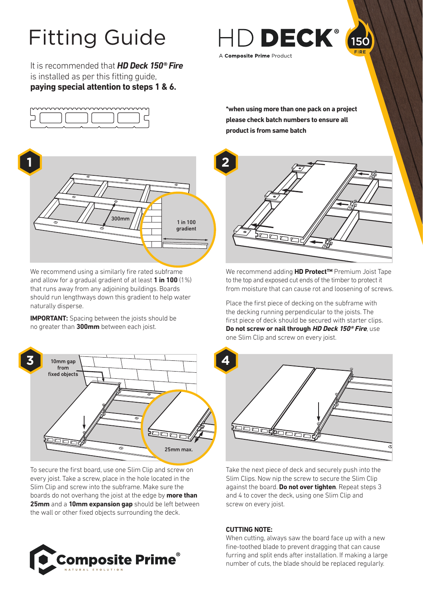# Fitting Guide

It is recommended that *HD Deck 150® Fire* is installed as per this fitting guide, **paying special attention to steps 1 & 6.**





We recommend using a similarly fire rated subframe and allow for a gradual gradient of at least **1 in 100** (1%) that runs away from any adjoining buildings. Boards should run lengthways down this gradient to help water naturally disperse.

**IMPORTANT:** Spacing between the joists should be no greater than **300mm** between each joist.



To secure the first board, use one Slim Clip and screw on every joist. Take a screw, place in the hole located in the Slim Clip and screw into the subframe. Make sure the boards do not overhang the joist at the edge by **more than 25mm** and a **10mm expansion gap** should be left between the wall or other fixed objects surrounding the deck.





**\*when using more than one pack on a project please check batch numbers to ensure all product is from same batch**



We recommend adding **HD Protect™** Premium Joist Tape to the top and exposed cut ends of the timber to protect it from moisture that can cause rot and loosening of screws.

Place the first piece of decking on the subframe with the decking running perpendicular to the joists. The first piece of deck should be secured with starter clips. **Do not screw or nail through HD Deck 150® Fire**, use one Slim Clip and screw on every joist.



Take the next piece of deck and securely push into the Slim Clips. Now nip the screw to secure the Slim Clip against the board. **Do not over tighten**. Repeat steps 3 and 4 to cover the deck, using one Slim Clip and screw on every joist.

# **CUTTING NOTE:**

When cutting, always saw the board face up with a new fine-toothed blade to prevent dragging that can cause furring and split ends after installation. If making a large number of cuts, the blade should be replaced regularly.